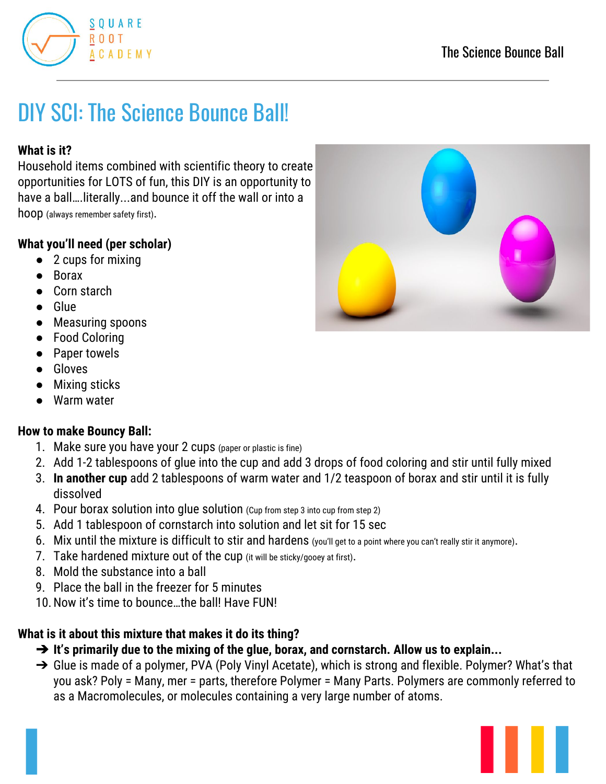

# DIY SCI: The Science Bounce Ball!

### **What is it?**

Household items combined with scientific theory to create opportunities for LOTS of fun, this DIY is an opportunity to have a ball….literally...and bounce it off the wall or into a hoop (always remember safety first).

#### **What you'll need (per scholar)**

- 2 cups for mixing
- **Borax**
- Corn starch
- Glue
- Measuring spoons
- Food Coloring
- Paper towels
- Gloves
- Mixing sticks
- Warm water

#### **How to make Bouncy Ball:**

- 1. Make sure you have your 2 cups (paper or plastic is fine)
- 2. Add 1-2 tablespoons of glue into the cup and add 3 drops of food coloring and stir until fully mixed
- 3. **In another cup** add 2 tablespoons of warm water and 1/2 teaspoon of borax and stir until it is fully dissolved
- 4. Pour borax solution into glue solution (Cup from step 3 into cup from step 2)
- 5. Add 1 tablespoon of cornstarch into solution and let sit for 15 sec
- 6. Mix until the mixture is difficult to stir and hardens (you'll get to a point where you can't really stir it anymore).
- 7. Take hardened mixture out of the cup (it will be sticky/gooey at first).
- 8. Mold the substance into a ball
- 9. Place the ball in the freezer for 5 minutes
- 10.Now it's time to bounce…the ball! Have FUN!

# **What is it about this mixture that makes it do its thing?**

- ➔ **It's primarily due to the mixing of the glue, borax, and cornstarch. Allow us to explain...**
- → Glue is made of a polymer, PVA (Poly Vinyl Acetate), which is strong and flexible. Polymer? What's that you ask? Poly = Many, mer = parts, therefore Polymer = Many Parts. Polymers are commonly referred to as a Macromolecules, or molecules containing a very large number of atoms.